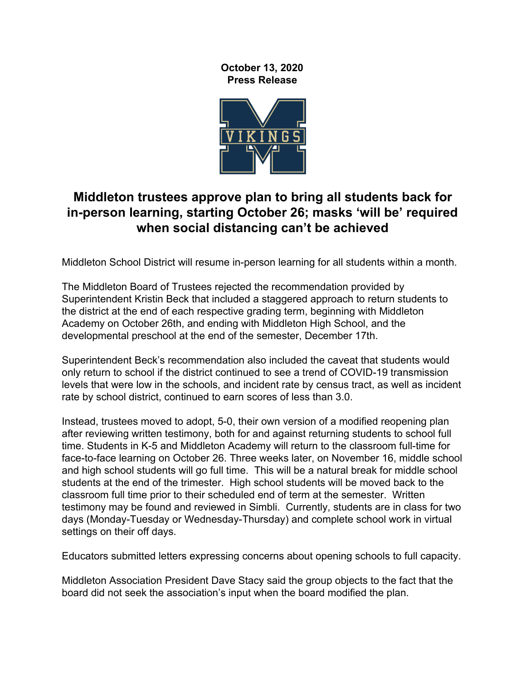**October 13, 2020 Press Release**



## **Middleton trustees approve plan to bring all students back for in-person learning, starting October 26; masks 'will be' required when social distancing can't be achieved**

Middleton School District will resume in-person learning for all students within a month.

The Middleton Board of Trustees rejected the recommendation provided by Superintendent Kristin Beck that included a staggered approach to return students to the district at the end of each respective grading term, beginning with Middleton Academy on October 26th, and ending with Middleton High School, and the developmental preschool at the end of the semester, December 17th.

Superintendent Beck's recommendation also included the caveat that students would only return to school if the district continued to see a trend of COVID-19 transmission levels that were low in the schools, and incident rate by census tract, as well as incident rate by school district, continued to earn scores of less than 3.0.

Instead, trustees moved to adopt, 5-0, their own version of a modified reopening plan after reviewing written testimony, both for and against returning students to school full time. Students in K-5 and Middleton Academy will return to the classroom full-time for face-to-face learning on October 26. Three weeks later, on November 16, middle school and high school students will go full time. This will be a natural break for middle school students at the end of the trimester. High school students will be moved back to the classroom full time prior to their scheduled end of term at the semester. Written testimony may be found and reviewed in Simbli. Currently, students are in class for two days (Monday-Tuesday or Wednesday-Thursday) and complete school work in virtual settings on their off days.

Educators submitted letters expressing concerns about opening schools to full capacity.

Middleton Association President Dave Stacy said the group objects to the fact that the board did not seek the association's input when the board modified the plan.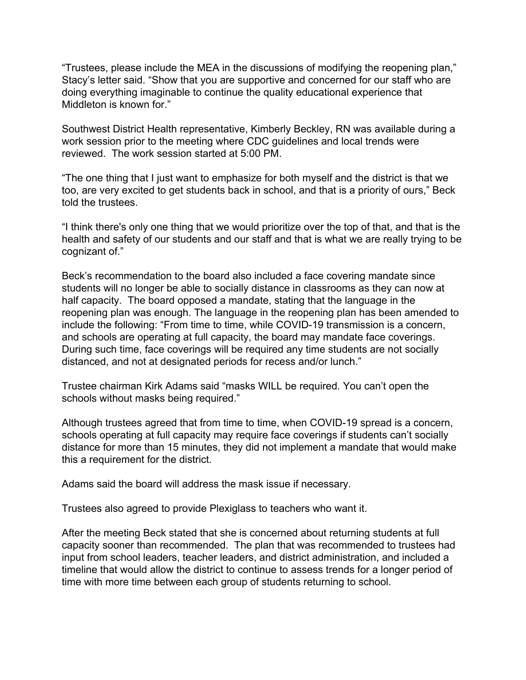"Trustees, please include the MEA in the discussions of modifying the reopening plan," Stacy's letter said. "Show that you are supportive and concerned for our staff who are doing everything imaginable to continue the quality educational experience that Middleton is known for."

Southwest District Health representative, Kimberly Beckley, RN was available during a work session prior to the meeting where CDC guidelines and local trends were reviewed. The work session started at 5:00 PM.

"The one thing that I just want to emphasize for both myself and the district is that we too, are very excited to get students back in school, and that is a priority of ours," Beck told the trustees.

"I think there's only one thing that we would prioritize over the top of that, and that is the health and safety of our students and our staff and that is what we are really trying to be cognizant of."

Beck's recommendation to the board also included a face covering mandate since students will no longer be able to socially distance in classrooms as they can now at half capacity. The board opposed a mandate, stating that the language in the reopening plan was enough. The language in the reopening plan has been amended to include the following: "From time to time, while COVID-19 transmission is a concern, and schools are operating at full capacity, the board may mandate face coverings. During such time, face coverings will be required any time students are not socially distanced, and not at designated periods for recess and/or lunch."

Trustee chairman Kirk Adams said "masks WILL be required. You can't open the schools without masks being required."

Although trustees agreed that from time to time, when COVID-19 spread is a concern, schools operating at full capacity may require face coverings if students can't socially distance for more than 15 minutes, they did not implement a mandate that would make this a requirement for the district.

Adams said the board will address the mask issue if necessary.

Trustees also agreed to provide Plexiglass to teachers who want it.

After the meeting Beck stated that she is concerned about returning students at full capacity sooner than recommended. The plan that was recommended to trustees had input from school leaders, teacher leaders, and district administration, and included a timeline that would allow the district to continue to assess trends for a longer period of time with more time between each group of students returning to school.